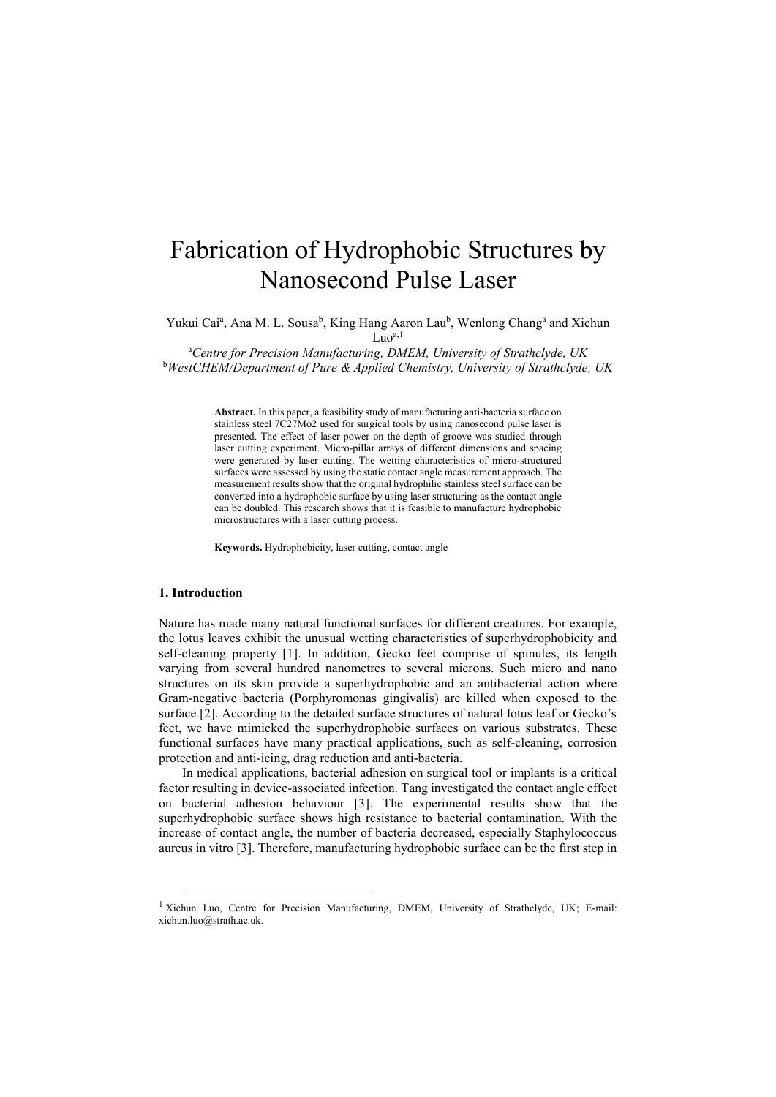# Fabrication of Hydrophobic Structures by Nanosecond Pulse Laser

Yukui Cai<sup>a</sup>, Ana M. L. Sousa<sup>b</sup>, King Hang Aaron Lau<sup>b</sup>, Wenlong Chang<sup>a</sup> and Xichun  $Luo^{a,1}$ 

<sup>a</sup>*Centre for Precision Manufacturing, DMEM, University of Strathclyde, UK* <sup>b</sup>*WestCHEM/Department of Pure & Applied Chemistry, University of Strathclyde, UK*

> **Abstract.** In this paper, a feasibility study of manufacturing anti-bacteria surface on stainless steel 7C27Mo2 used for surgical tools by using nanosecond pulse laser is presented. The effect of laser power on the depth of groove was studied through laser cutting experiment. Micro-pillar arrays of different dimensions and spacing were generated by laser cutting. The wetting characteristics of micro-structured surfaces were assessed by using the static contact angle measurement approach. The measurement results show that the original hydrophilic stainless steel surface can be converted into a hydrophobic surface by using laser structuring as the contact angle can be doubled. This research shows that it is feasible to manufacture hydrophobic microstructures with a laser cutting process.

**Keywords.** Hydrophobicity, laser cutting, contact angle

## **1. Introduction**

1

Nature has made many natural functional surfaces for different creatures. For example, the lotus leaves exhibit the unusual wetting characteristics of superhydrophobicity and self-cleaning property [1]. In addition, Gecko feet comprise of spinules, its length varying from several hundred nanometres to several microns. Such micro and nano structures on its skin provide a superhydrophobic and an antibacterial action where Gram-negative bacteria (Porphyromonas gingivalis) are killed when exposed to the surface [2]. According to the detailed surface structures of natural lotus leaf or Gecko's feet, we have mimicked the superhydrophobic surfaces on various substrates. These functional surfaces have many practical applications, such as self-cleaning, corrosion protection and anti-icing, drag reduction and anti-bacteria.

In medical applications, bacterial adhesion on surgical tool or implants is a critical factor resulting in device-associated infection. Tang investigated the contact angle effect on bacterial adhesion behaviour [3]. The experimental results show that the superhydrophobic surface shows high resistance to bacterial contamination. With the increase of contact angle, the number of bacteria decreased, especially Staphylococcus aureus in vitro [3]. Therefore, manufacturing hydrophobic surface can be the first step in

<sup>&</sup>lt;sup>1</sup> Xichun Luo, Centre for Precision Manufacturing, DMEM, University of Strathclyde, UK; E-mail: xichun.luo@strath.ac.uk.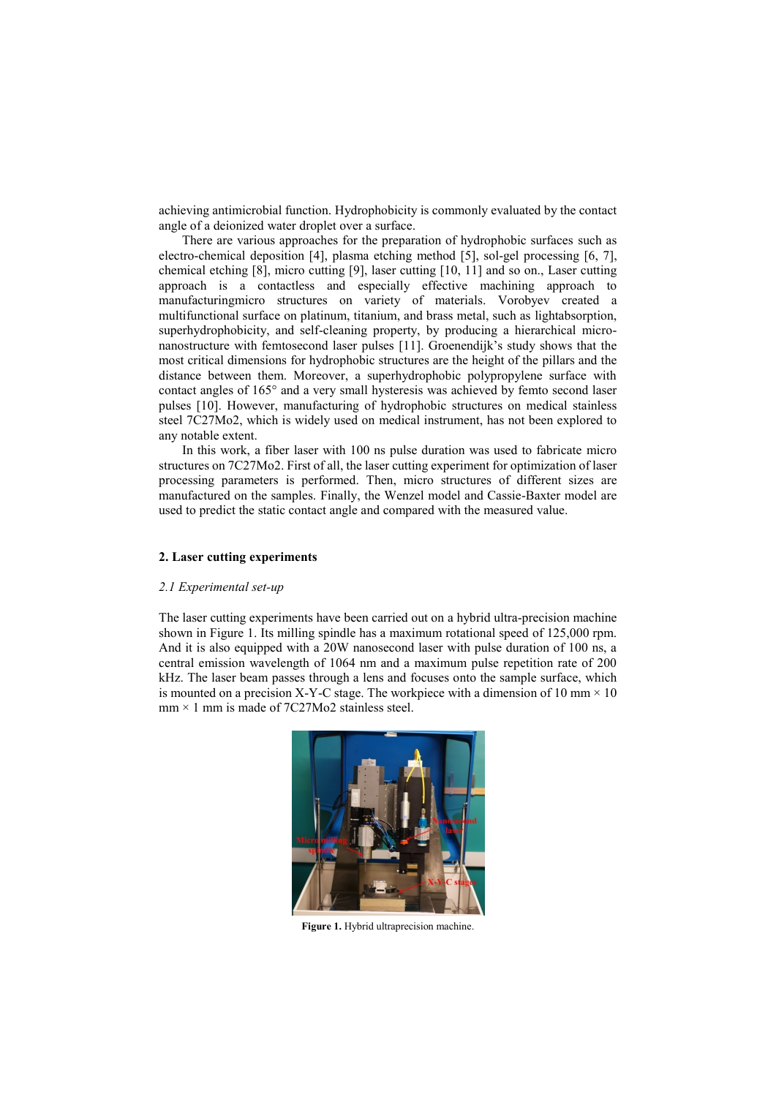achieving antimicrobial function. Hydrophobicity is commonly evaluated by the contact angle of a deionized water droplet over a surface.

There are various approaches for the preparation of hydrophobic surfaces such as electro-chemical deposition [4], plasma etching method [5], sol-gel processing [6, 7], chemical etching [8], micro cutting [9], laser cutting [10, 11] and so on., Laser cutting approach is a contactless and especially effective machining approach to manufacturingmicro structures on variety of materials. Vorobyev created a multifunctional surface on platinum, titanium, and brass metal, such as lightabsorption, superhydrophobicity, and self-cleaning property, by producing a hierarchical micronanostructure with femtosecond laser pulses [11]. Groenendijk's study shows that the most critical dimensions for hydrophobic structures are the height of the pillars and the distance between them. Moreover, a superhydrophobic polypropylene surface with contact angles of 165° and a very small hysteresis was achieved by femto second laser pulses [10]. However, manufacturing of hydrophobic structures on medical stainless steel 7C27Mo2, which is widely used on medical instrument, has not been explored to any notable extent.

In this work, a fiber laser with 100 ns pulse duration was used to fabricate micro structures on 7C27Mo2. First of all, the laser cutting experiment for optimization of laser processing parameters is performed. Then, micro structures of different sizes are manufactured on the samples. Finally, the Wenzel model and Cassie-Baxter model are used to predict the static contact angle and compared with the measured value.

## **2. Laser cutting experiments**

#### *2.1 Experimental set-up*

The laser cutting experiments have been carried out on a hybrid ultra-precision machine shown in Figure 1. Its milling spindle has a maximum rotational speed of 125,000 rpm. And it is also equipped with a 20W nanosecond laser with pulse duration of 100 ns, a central emission wavelength of 1064 nm and a maximum pulse repetition rate of 200 kHz. The laser beam passes through a lens and focuses onto the sample surface, which is mounted on a precision X-Y-C stage. The workpiece with a dimension of 10 mm  $\times$  10  $mm \times 1$  mm is made of 7C27Mo2 stainless steel.



**Figure 1.** Hybrid ultraprecision machine.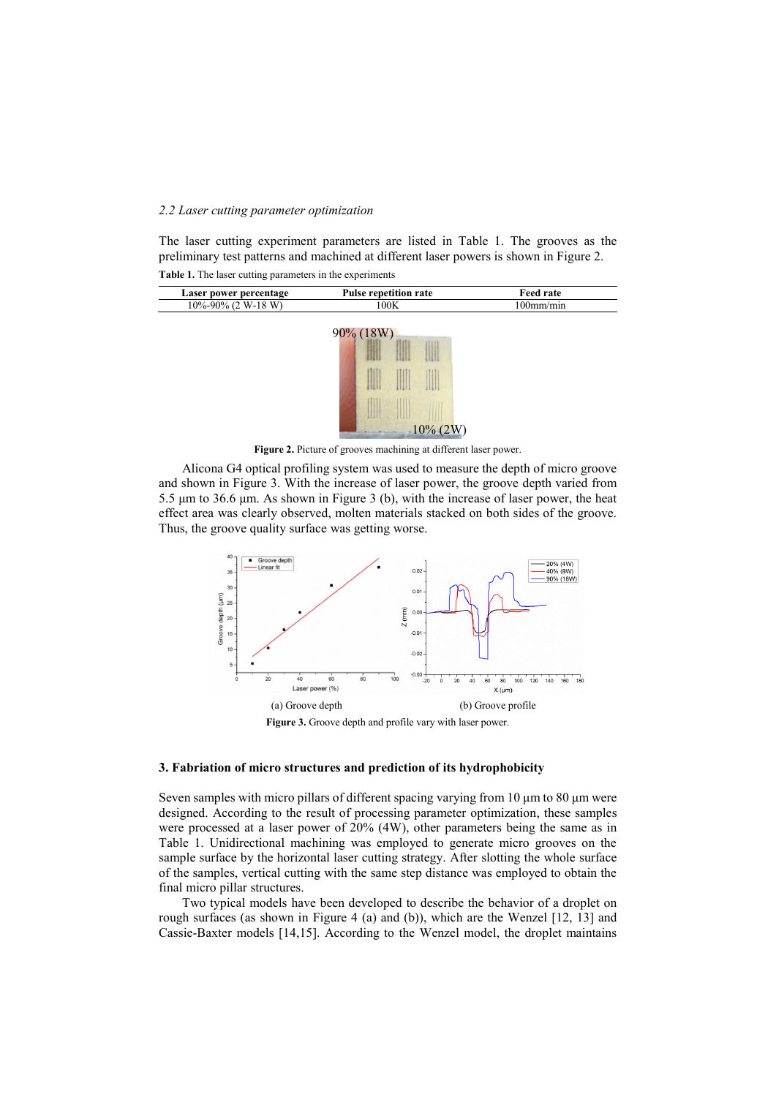## *2.2 Laser cutting parameter optimization*

The laser cutting experiment parameters are listed in Table 1. The grooves as the preliminary test patterns and machined at different laser powers is shown in Figure 2. **Table 1.** The laser cutting parameters in the experiments

| Laser power percentage | <b>Pulse repetition rate</b> | 'eed rate |
|------------------------|------------------------------|-----------|
| 10%-90% (<br>W-18 W)   | 00K                          | 00mm/min  |



**Figure 2.** Picture of grooves machining at different laser power.

Alicona G4 optical profiling system was used to measure the depth of micro groove and shown in Figure 3. With the increase of laser power, the groove depth varied from 5.5 μm to 36.6 μm. As shown in Figure 3 (b), with the increase of laser power, the heat effect area was clearly observed, molten materials stacked on both sides of the groove. Thus, the groove quality surface was getting worse.



#### **3. Fabriation of micro structures and prediction of its hydrophobicity**

Seven samples with micro pillars of different spacing varying from 10 μm to 80 μm were designed. According to the result of processing parameter optimization, these samples were processed at a laser power of 20% (4W), other parameters being the same as in Table 1. Unidirectional machining was employed to generate micro grooves on the sample surface by the horizontal laser cutting strategy. After slotting the whole surface of the samples, vertical cutting with the same step distance was employed to obtain the final micro pillar structures.

Two typical models have been developed to describe the behavior of a droplet on rough surfaces (as shown in Figure 4 (a) and (b)), which are the Wenzel [12, 13] and Cassie-Baxter models [14,15]. According to the Wenzel model, the droplet maintains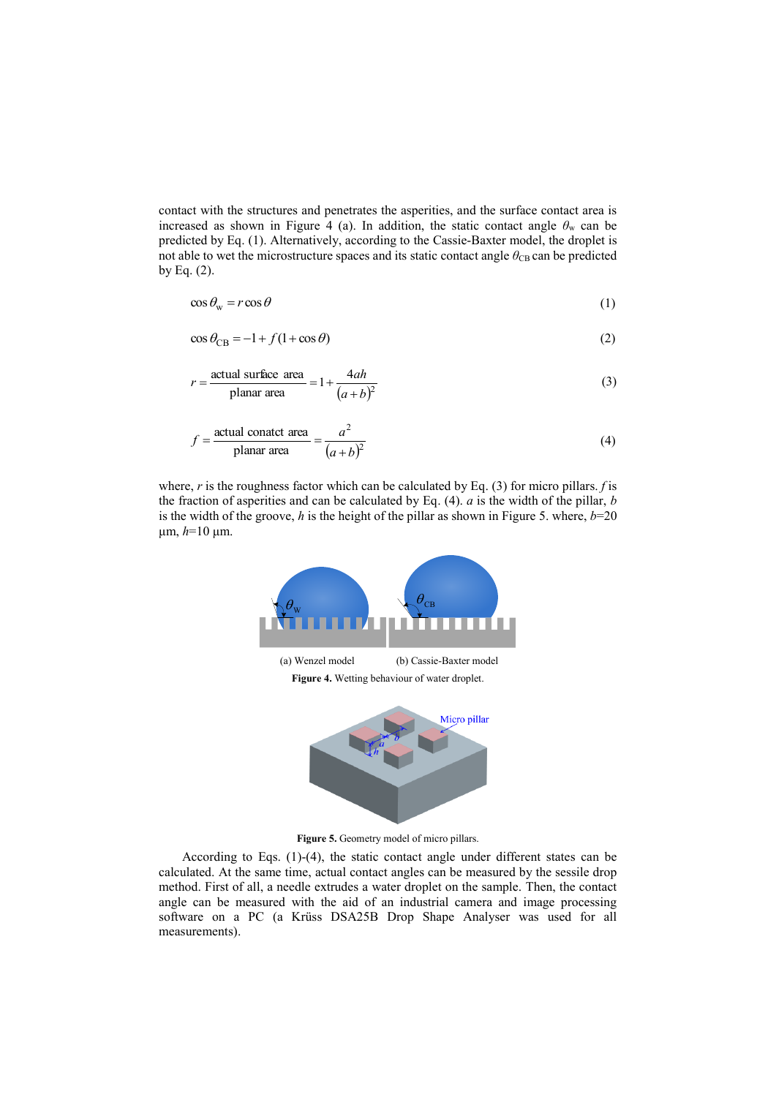contact with the structures and penetrates the asperities, and the surface contact area is increased as shown in Figure 4 (a). In addition, the static contact angle  $\theta_w$  can be predicted by Eq. (1). Alternatively, according to the Cassie-Baxter model, the droplet is not able to wet the microstructure spaces and its static contact angle  $\theta_{\text{CB}}$  can be predicted by Eq.  $(2)$ .

$$
\cos \theta_{\rm w} = r \cos \theta \tag{1}
$$

$$
\cos \theta_{\rm CB} = -1 + f(1 + \cos \theta) \tag{2}
$$

$$
r = \frac{\text{actual surface area}}{\text{planar area}} = 1 + \frac{4ah}{(a+b)^2}
$$
 (3)

$$
f = \frac{\text{actual contact area}}{\text{planar area}} = \frac{a^2}{(a+b)^2}
$$
 (4)

where, *r* is the roughness factor which can be calculated by Eq. (3) for micro pillars. *f* is the fraction of asperities and can be calculated by Eq. (4). *a* is the width of the pillar, *b* is the width of the groove,  $h$  is the height of the pillar as shown in Figure 5. where,  $b=20$ μm, *h*=10 μm.



Figure 5. Geometry model of micro pillars.

According to Eqs. (1)-(4), the static contact angle under different states can be calculated. At the same time, actual contact angles can be measured by the sessile drop method. First of all, a needle extrudes a water droplet on the sample. Then, the contact angle can be measured with the aid of an industrial camera and image processing software on a PC (a Krüss DSA25B Drop Shape Analyser was used for all measurements).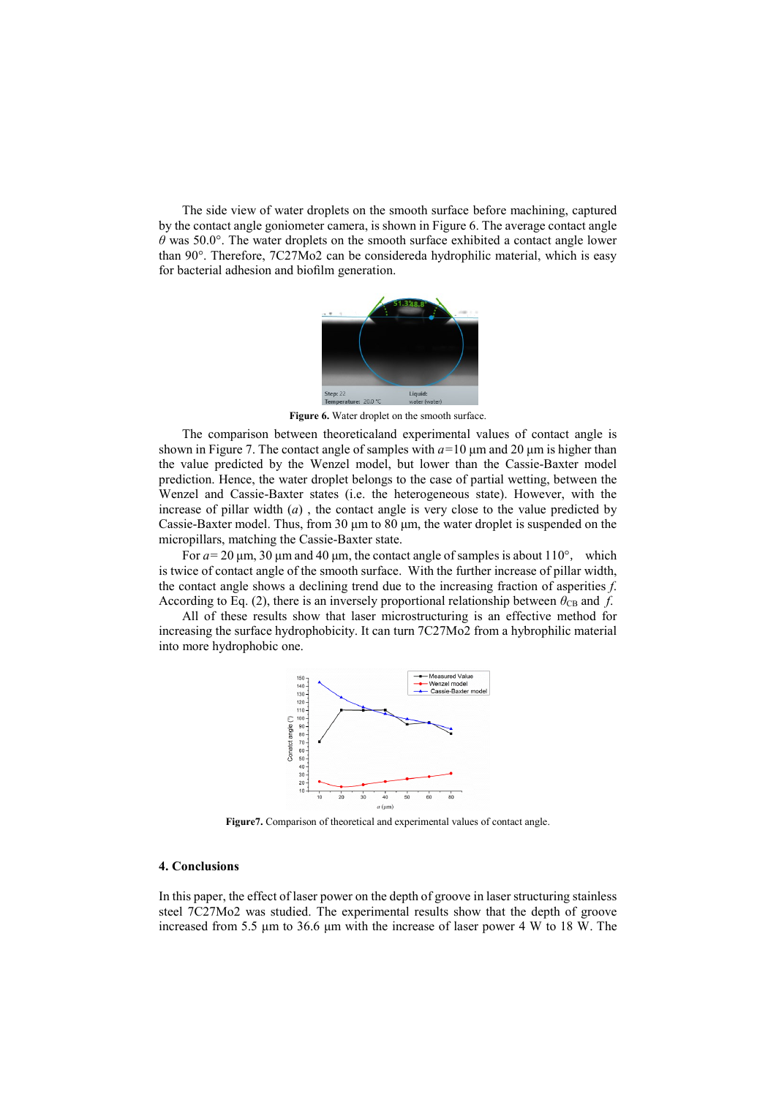The side view of water droplets on the smooth surface before machining, captured by the contact angle goniometer camera, is shown in Figure 6. The average contact angle *θ* was 50.0°. The water droplets on the smooth surface exhibited a contact angle lower than 90°. Therefore, 7C27Mo2 can be considereda hydrophilic material, which is easy for bacterial adhesion and biofilm generation.



**Figure 6.** Water droplet on the smooth surface.

The comparison between theoreticaland experimental values of contact angle is shown in Figure 7. The contact angle of samples with *a=*10 μm and 20 μm is higher than the value predicted by the Wenzel model, but lower than the Cassie-Baxter model prediction. Hence, the water droplet belongs to the case of partial wetting, between the Wenzel and Cassie-Baxter states (i.e. the heterogeneous state). However, with the increase of pillar width (*a*) , the contact angle is very close to the value predicted by Cassie-Baxter model. Thus, from 30 μm to 80 μm, the water droplet is suspended on the micropillars, matching the Cassie-Baxter state.

For  $a = 20 \mu m$ , 30  $\mu m$  and 40  $\mu m$ , the contact angle of samples is about 110°, which is twice of contact angle of the smooth surface. With the further increase of pillar width, the contact angle shows a declining trend due to the increasing fraction of asperities *f*. According to Eq. (2), there is an inversely proportional relationship between  $\theta_{CB}$  and *f*.

All of these results show that laser microstructuring is an effective method for increasing the surface hydrophobicity. It can turn 7C27Mo2 from a hybrophilic material into more hydrophobic one.



**Figure7.** Comparison of theoretical and experimental values of contact angle.

## **4. Conclusions**

In this paper, the effect of laser power on the depth of groove in laser structuring stainless steel 7C27Mo2 was studied. The experimental results show that the depth of groove increased from 5.5 μm to 36.6 μm with the increase of laser power 4 W to 18 W. The